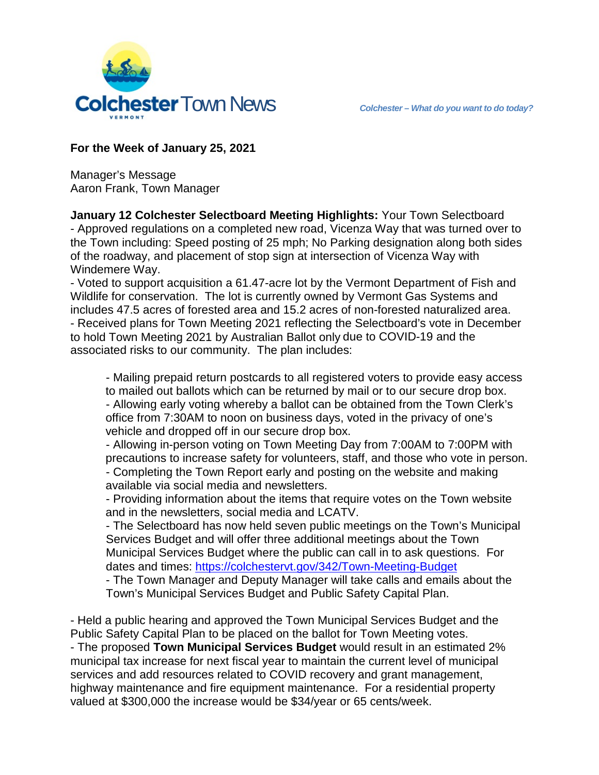

## **For the Week of January 25, 2021**

Manager's Message Aaron Frank, Town Manager

**January 12 Colchester Selectboard Meeting Highlights:** Your Town Selectboard - Approved regulations on a completed new road, Vicenza Way that was turned over to the Town including: Speed posting of 25 mph; No Parking designation along both sides of the roadway, and placement of stop sign at intersection of Vicenza Way with Windemere Way.

- Voted to support acquisition a 61.47-acre lot by the Vermont Department of Fish and Wildlife for conservation. The lot is currently owned by Vermont Gas Systems and includes 47.5 acres of forested area and 15.2 acres of non-forested naturalized area. - Received plans for Town Meeting 2021 reflecting the Selectboard's vote in December to hold Town Meeting 2021 by Australian Ballot only due to COVID-19 and the associated risks to our community. The plan includes:

- Mailing prepaid return postcards to all registered voters to provide easy access to mailed out ballots which can be returned by mail or to our secure drop box. - Allowing early voting whereby a ballot can be obtained from the Town Clerk's office from 7:30AM to noon on business days, voted in the privacy of one's vehicle and dropped off in our secure drop box.

- Allowing in-person voting on Town Meeting Day from 7:00AM to 7:00PM with precautions to increase safety for volunteers, staff, and those who vote in person. - Completing the Town Report early and posting on the website and making available via social media and newsletters.

- Providing information about the items that require votes on the Town website and in the newsletters, social media and LCATV.

- The Selectboard has now held seven public meetings on the Town's Municipal Services Budget and will offer three additional meetings about the Town Municipal Services Budget where the public can call in to ask questions. For dates and times:<https://colchestervt.gov/342/Town-Meeting-Budget>

- The Town Manager and Deputy Manager will take calls and emails about the Town's Municipal Services Budget and Public Safety Capital Plan.

- Held a public hearing and approved the Town Municipal Services Budget and the Public Safety Capital Plan to be placed on the ballot for Town Meeting votes. - The proposed **Town Municipal Services Budget** would result in an estimated 2% municipal tax increase for next fiscal year to maintain the current level of municipal services and add resources related to COVID recovery and grant management, highway maintenance and fire equipment maintenance. For a residential property

valued at \$300,000 the increase would be \$34/year or 65 cents/week.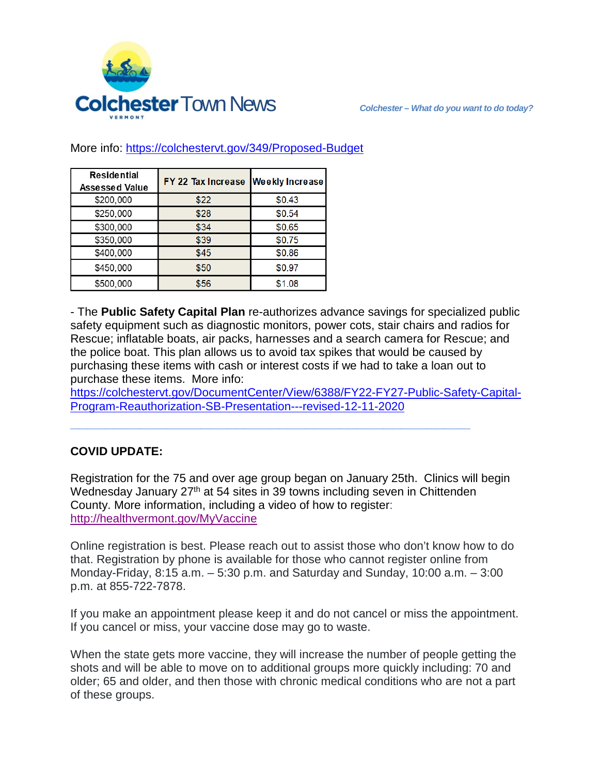

| <b>Residential</b><br><b>Assessed Value</b> | FY 22 Tax Increase | <b>Weekly Increase</b> |
|---------------------------------------------|--------------------|------------------------|
| \$200,000                                   | \$22               | \$0.43                 |
| \$250,000                                   | \$28               | \$0.54                 |
| \$300,000                                   | \$34               | \$0.65                 |
| \$350,000                                   | \$39               | \$0.75                 |
| \$400,000                                   | \$45               | \$0.86                 |
| \$450,000                                   | \$50               | \$0.97                 |
| \$500,000                                   | \$56               | \$1.08                 |

More info:<https://colchestervt.gov/349/Proposed-Budget>

- The **Public Safety Capital Plan** re-authorizes advance savings for specialized public safety equipment such as diagnostic monitors, power cots, stair chairs and radios for Rescue; inflatable boats, air packs, harnesses and a search camera for Rescue; and the police boat. This plan allows us to avoid tax spikes that would be caused by purchasing these items with cash or interest costs if we had to take a loan out to purchase these items. More info:

[https://colchestervt.gov/DocumentCenter/View/6388/FY22-FY27-Public-Safety-Capital-](https://colchestervt.gov/DocumentCenter/View/6388/FY22-FY27-Public-Safety-Capital-Program-Reauthorization-SB-Presentation---revised-12-11-2020)[Program-Reauthorization-SB-Presentation---revised-12-11-2020](https://colchestervt.gov/DocumentCenter/View/6388/FY22-FY27-Public-Safety-Capital-Program-Reauthorization-SB-Presentation---revised-12-11-2020)

**\_\_\_\_\_\_\_\_\_\_\_\_\_\_\_\_\_\_\_\_\_\_\_\_\_\_\_\_\_\_\_\_\_\_\_\_\_\_\_\_\_\_\_\_\_\_**

## **COVID UPDATE:**

Registration for the 75 and over age group began on January 25th. Clinics will begin Wednesday January 27<sup>th</sup> at 54 sites in 39 towns including seven in Chittenden County. More information, including a video of how to register: <http://healthvermont.gov/MyVaccine>

Online registration is best. Please reach out to assist those who don't know how to do that. Registration by phone is available for those who cannot register online from Monday-Friday, 8:15 a.m. – 5:30 p.m. and Saturday and Sunday, 10:00 a.m. – 3:00 p.m. at 855-722-7878.

If you make an appointment please keep it and do not cancel or miss the appointment. If you cancel or miss, your vaccine dose may go to waste.

When the state gets more vaccine, they will increase the number of people getting the shots and will be able to move on to additional groups more quickly including: 70 and older; 65 and older, and then those with chronic medical conditions who are not a part of these groups.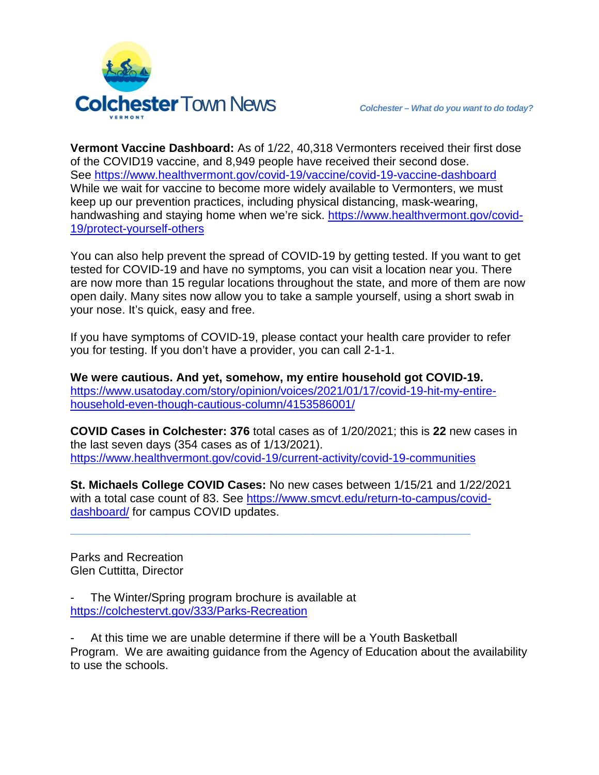

**Vermont Vaccine Dashboard:** As of 1/22, 40,318 Vermonters received their first dose of the COVID19 vaccine, and 8,949 people have received their second dose. See <https://www.healthvermont.gov/covid-19/vaccine/covid-19-vaccine-dashboard> While we wait for vaccine to become more widely available to Vermonters, we must keep up our prevention practices, including physical distancing, mask-wearing, handwashing and staying home when we're sick. https://www.healthvermont.gov/covid-19/protect-yourself-others

You can also help prevent the spread of COVID-19 by getting tested. If you want to get tested for COVID-19 and have no symptoms, you can visit a location near you. There are now more than 15 regular locations throughout the state, and more of them are now open daily. Many sites now allow you to take a sample yourself, using a short swab in your nose. It's quick, easy and free.

If you have symptoms of COVID-19, please contact your health care provider to refer you for testing. If you don't have a provider, you can call 2-1-1.

**We were cautious. And yet, somehow, my entire household got COVID-19.** [https://www.usatoday.com/story/opinion/voices/2021/01/17/covid-19-hit-my-entire](https://www.usatoday.com/story/opinion/voices/2021/01/17/covid-19-hit-my-entire-household-even-though-cautious-column/4153586001/)[household-even-though-cautious-column/4153586001/](https://www.usatoday.com/story/opinion/voices/2021/01/17/covid-19-hit-my-entire-household-even-though-cautious-column/4153586001/)

**COVID Cases in Colchester: 376** total cases as of 1/20/2021; this is **22** new cases in the last seven days (354 cases as of 1/13/2021). <https://www.healthvermont.gov/covid-19/current-activity/covid-19-communities>

**St. Michaels College COVID Cases:** No new cases between 1/15/21 and 1/22/2021 with a total case count of 83. See [https://www.smcvt.edu/return-to-campus/covid](https://www.smcvt.edu/return-to-campus/covid-dashboard/)[dashboard/](https://www.smcvt.edu/return-to-campus/covid-dashboard/) for campus COVID updates.

**\_\_\_\_\_\_\_\_\_\_\_\_\_\_\_\_\_\_\_\_\_\_\_\_\_\_\_\_\_\_\_\_\_\_\_\_\_\_\_\_\_\_\_\_\_\_**

Parks and Recreation Glen Cuttitta, Director

The Winter/Spring program brochure is available at <https://colchestervt.gov/333/Parks-Recreation>

- At this time we are unable determine if there will be a Youth Basketball Program. We are awaiting guidance from the Agency of Education about the availability to use the schools.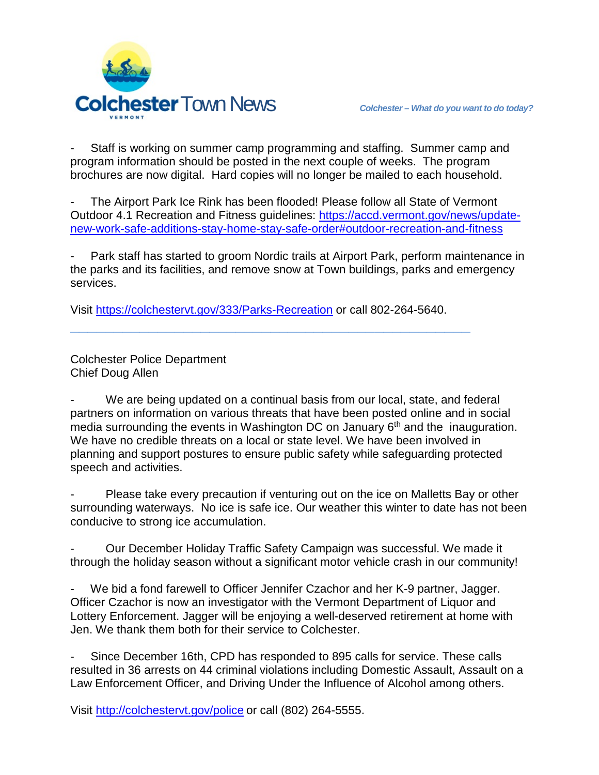

Staff is working on summer camp programming and staffing. Summer camp and program information should be posted in the next couple of weeks. The program brochures are now digital. Hard copies will no longer be mailed to each household.

- The Airport Park Ice Rink has been flooded! Please follow all State of Vermont Outdoor 4.1 Recreation and Fitness guidelines: [https://accd.vermont.gov/news/update](https://accd.vermont.gov/news/update-new-work-safe-additions-stay-home-stay-safe-order#outdoor-recreation-and-fitness)[new-work-safe-additions-stay-home-stay-safe-order#outdoor-recreation-and-fitness](https://accd.vermont.gov/news/update-new-work-safe-additions-stay-home-stay-safe-order#outdoor-recreation-and-fitness)

Park staff has started to groom Nordic trails at Airport Park, perform maintenance in the parks and its facilities, and remove snow at Town buildings, parks and emergency services.

Visit<https://colchestervt.gov/333/Parks-Recreation> or call 802-264-5640.

**\_\_\_\_\_\_\_\_\_\_\_\_\_\_\_\_\_\_\_\_\_\_\_\_\_\_\_\_\_\_\_\_\_\_\_\_\_\_\_\_\_\_\_\_\_\_**

Colchester Police Department Chief Doug Allen

We are being updated on a continual basis from our local, state, and federal partners on information on various threats that have been posted online and in social media surrounding the events in Washington DC on January  $6<sup>th</sup>$  and the inauguration. We have no credible threats on a local or state level. We have been involved in planning and support postures to ensure public safety while safeguarding protected speech and activities.

Please take every precaution if venturing out on the ice on Malletts Bay or other surrounding waterways. No ice is safe ice. Our weather this winter to date has not been conducive to strong ice accumulation.

- Our December Holiday Traffic Safety Campaign was successful. We made it through the holiday season without a significant motor vehicle crash in our community!

We bid a fond farewell to Officer Jennifer Czachor and her K-9 partner, Jagger. Officer Czachor is now an investigator with the Vermont Department of Liquor and Lottery Enforcement. Jagger will be enjoying a well-deserved retirement at home with Jen. We thank them both for their service to Colchester.

Since December 16th, CPD has responded to 895 calls for service. These calls resulted in 36 arrests on 44 criminal violations including Domestic Assault, Assault on a Law Enforcement Officer, and Driving Under the Influence of Alcohol among others.

Visit http://colchestervt.gov/police or call (802) 264-5555.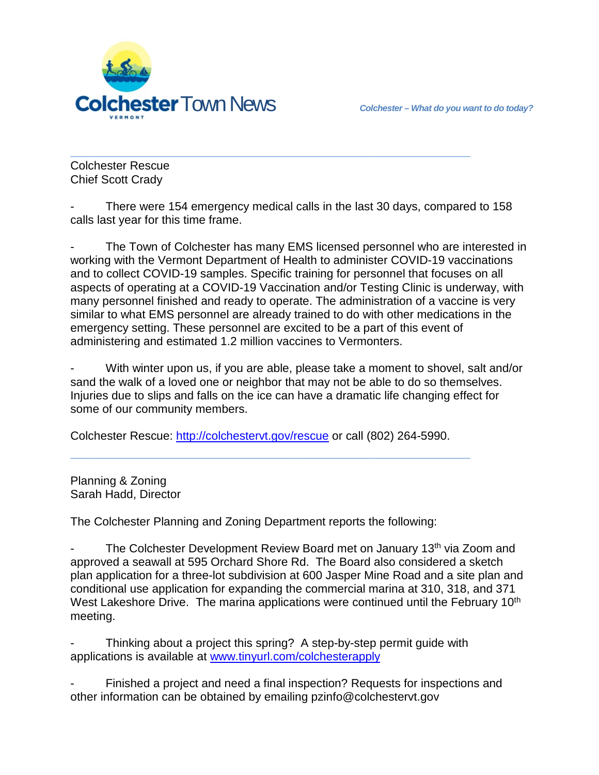

**\_\_\_\_\_\_\_\_\_\_\_\_\_\_\_\_\_\_\_\_\_\_\_\_\_\_\_\_\_\_\_\_\_\_\_\_\_\_\_\_\_\_\_\_\_\_** Colchester Rescue Chief Scott Crady

There were 154 emergency medical calls in the last 30 days, compared to 158 calls last year for this time frame.

The Town of Colchester has many EMS licensed personnel who are interested in working with the Vermont Department of Health to administer COVID-19 vaccinations and to collect COVID-19 samples. Specific training for personnel that focuses on all aspects of operating at a COVID-19 Vaccination and/or Testing Clinic is underway, with many personnel finished and ready to operate. The administration of a vaccine is very similar to what EMS personnel are already trained to do with other medications in the emergency setting. These personnel are excited to be a part of this event of administering and estimated 1.2 million vaccines to Vermonters.

With winter upon us, if you are able, please take a moment to shovel, salt and/or sand the walk of a loved one or neighbor that may not be able to do so themselves. Injuries due to slips and falls on the ice can have a dramatic life changing effect for some of our community members.

Colchester Rescue: [http://colchestervt.gov/rescue](http://colchestervt.gov/rescue/index.shtml) or call (802) 264-5990.

**\_\_\_\_\_\_\_\_\_\_\_\_\_\_\_\_\_\_\_\_\_\_\_\_\_\_\_\_\_\_\_\_\_\_\_\_\_\_\_\_\_\_\_\_\_\_**

Planning & Zoning Sarah Hadd, Director

The Colchester Planning and Zoning Department reports the following:

The Colchester Development Review Board met on January 13<sup>th</sup> via Zoom and approved a seawall at 595 Orchard Shore Rd. The Board also considered a sketch plan application for a three-lot subdivision at 600 Jasper Mine Road and a site plan and conditional use application for expanding the commercial marina at 310, 318, and 371 West Lakeshore Drive. The marina applications were continued until the February 10<sup>th</sup> meeting.

Thinking about a project this spring? A step-by-step permit guide with applications is available at [www.tinyurl.com/colchesterapply](http://www.tinyurl.com/colchesterapply)

Finished a project and need a final inspection? Requests for inspections and other information can be obtained by emailing pzinfo@colchestervt.gov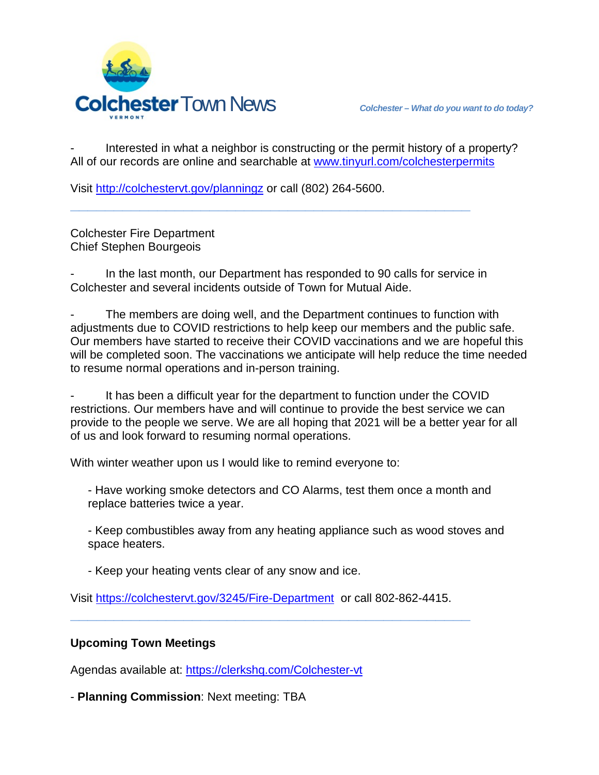

Interested in what a neighbor is constructing or the permit history of a property? All of our records are online and searchable at [www.tinyurl.com/colchesterpermits](http://www.tinyurl.com/colchesterpermits)

Visit<http://colchestervt.gov/planningz> or call (802) 264-5600.

Colchester Fire Department Chief Stephen Bourgeois

In the last month, our Department has responded to 90 calls for service in Colchester and several incidents outside of Town for Mutual Aide.

**\_\_\_\_\_\_\_\_\_\_\_\_\_\_\_\_\_\_\_\_\_\_\_\_\_\_\_\_\_\_\_\_\_\_\_\_\_\_\_\_\_\_\_\_\_\_**

The members are doing well, and the Department continues to function with adjustments due to COVID restrictions to help keep our members and the public safe. Our members have started to receive their COVID vaccinations and we are hopeful this will be completed soon. The vaccinations we anticipate will help reduce the time needed to resume normal operations and in-person training.

It has been a difficult year for the department to function under the COVID restrictions. Our members have and will continue to provide the best service we can provide to the people we serve. We are all hoping that 2021 will be a better year for all of us and look forward to resuming normal operations.

With winter weather upon us I would like to remind everyone to:

- Have working smoke detectors and CO Alarms, test them once a month and replace batteries twice a year.

- Keep combustibles away from any heating appliance such as wood stoves and space heaters.

- Keep your heating vents clear of any snow and ice.

Visit<https://colchestervt.gov/3245/Fire-Department> or call 802-862-4415.

**\_\_\_\_\_\_\_\_\_\_\_\_\_\_\_\_\_\_\_\_\_\_\_\_\_\_\_\_\_\_\_\_\_\_\_\_\_\_\_\_\_\_\_\_\_\_**

## **Upcoming Town Meetings**

Agendas available at:<https://clerkshq.com/Colchester-vt>

- **Planning Commission**: Next meeting: TBA